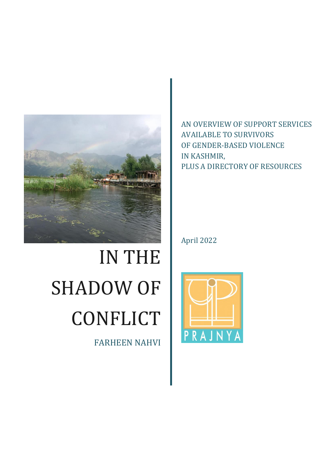

# IN THE SHADOW OF **CONFLICT**

FARHEEN NAHVI

AN OVERVIEW OF SUPPORT SERVICES AVAILABLE TO SURVIVORS OF GENDER-BASED VIOLENCE IN KASHMIR, PLUS A DIRECTORY OF RESOURCES

April 2022

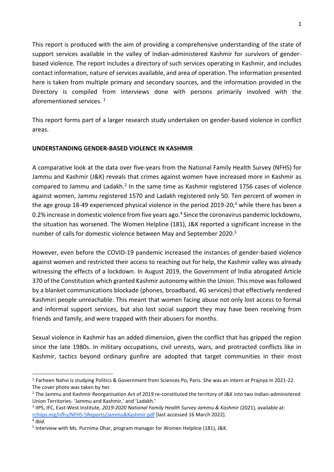This report is produced with the aim of providing a comprehensive understanding of the state of support services available in the valley of Indian-administered Kashmir for survivors of genderbased violence. The report includes a directory of such services operating in Kashmir, and includes contact information, nature of services available, and area of operation. The information presented here is taken from multiple primary and secondary sources, and the information provided in the Directory is compiled from interviews done with persons primarily involved with the aforementioned services.<sup>1</sup>

This report forms part of a larger research study undertaken on gender-based violence in conflict areas.

### **UNDERSTANDING GENDER-BASED VIOLENCE IN KASHMIR**

A comparative look at the data over five-years from the National Family Health Survey (NFHS) for Jammu and Kashmir (J&K) reveals that crimes against women have increased more in Kashmir as compared to Jammu and Ladakh.<sup>2</sup> In the same time as Kashmir registered 1756 cases of violence against women, Jammu registered 1570 and Ladakh registered only 50. Ten percent of women in the age group 18-49 experienced physical violence in the period 2019-20;<sup>3</sup> while there has been a 0.2% increase in domestic violence from five years ago.<sup>4</sup> Since the coronavirus pandemic lockdowns, the situation has worsened. The Women Helpline (181), J&K reported a significant increase in the number of calls for domestic violence between May and September 2020.<sup>5</sup>

However, even before the COVID-19 pandemic increased the instances of gender-based violence against women and restricted their access to reaching out for help, the Kashmir valley was already witnessing the effects of a lockdown. In August 2019, the Government of India abrogated Article 370 of the Constitution which granted Kashmir autonomy within the Union. This move was followed by a blanket communications blockade (phones, broadband, 4G services) that effectively rendered Kashmiri people unreachable. This meant that women facing abuse not only lost access to formal and informal support services, but also lost social support they may have been receiving from friends and family, and were trapped with their abusers for months.

Sexual violence in Kashmir has an added dimension, given the conflict that has gripped the region since the late 1980s. In military occupations, civil unrests, wars, and protracted conflicts like in Kashmir, tactics beyond ordinary gunfire are adopted that target communities in their most

<sup>1</sup> Farheen Nahvi is studying Politics & Government from Sciences Po, Paris. She was an intern at Prajnya in 2021-22. The cover photo was taken by her.

<sup>&</sup>lt;sup>2</sup> The Jammu and Kashmir Reorganisation Act of 2019 re-constituted the territory of J&K into two Indian-administered Union Territories- 'Jammu and Kashmir,' and 'Ladakh.'

<sup>3</sup> IIPS, IFC, East-West Institute, *2019-2020 National Family Health Survey Jammu & Kashmir* (2021), available at: [rchiips.org/nfhs/NFHS-5Reports/Jammu&Kashmir.pdf](http://rchiips.org/nfhs/NFHS-5Reports/Jammu&Kashmir.pdf) [last accessed 16 March 2022].

<sup>4</sup> *Ibid*. <sup>5</sup> Interview with Ms. Purnima Dhar, program manager for Women Helpline (181), J&K.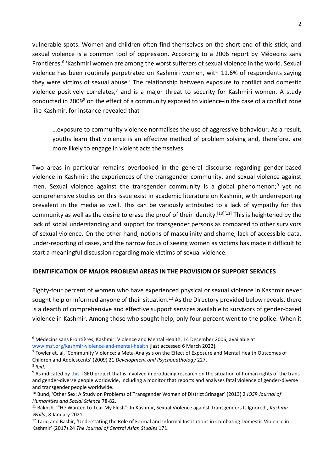vulnerable spots. Women and children often find themselves on the short end of this stick, and sexual violence is a common tool of oppression. According to a 2006 report by Médecins sans Frontières,<sup>6</sup> 'Kashmiri women are among the worst sufferers of sexual violence in the world. Sexual violence has been routinely perpetrated on Kashmiri women, with 11.6% of respondents saying they were victims of sexual abuse.' The relationship between exposure to conflict and domestic violence positively correlates, $<sup>7</sup>$  and is a major threat to security for Kashmiri women. A study</sup> conducted in 2009<sup>8</sup> on the effect of a community exposed to violence-in the case of a conflict zone like Kashmir, for instance-revealed that

…exposure to community violence normalises the use of aggressive behaviour. As a result, youths learn that violence is an effective method of problem solving and, therefore, are more likely to engage in violent acts themselves.

Two areas in particular remains overlooked in the general discourse regarding gender-based violence in Kashmir: the experiences of the transgender community, and sexual violence against men. Sexual violence against the transgender community is a global phenomenon;<sup>9</sup> yet no comprehensive studies on this issue exist in academic literature on Kashmir, with underreporting prevalent in the media as well. This can be variously attributed to a lack of sympathy for this community as well as the desire to erase the proof of their identity.<sup>[10][11]</sup> This is heightened by the lack of social understanding and support for transgender persons as compared to other survivors of sexual violence. On the other hand, notions of masculinity and shame, lack of accessible data, under-reporting of cases, and the narrow focus of seeing women as victims has made it difficult to start a meaningful discussion regarding male victims of sexual violence.

#### **IDENTIFICATION OF MAJOR PROBLEM AREAS IN THE PROVISION OF SUPPORT SERVICES**

Eighty-four percent of women who have experienced physical or sexual violence in Kashmir never sought help or informed anyone of their situation.<sup>12</sup> As the Directory provided below reveals, there is a dearth of comprehensive and effective support services available to survivors of gender-based violence in Kashmir. Among those who sought help, only four percent went to the police. When it

<sup>6</sup> Médecins sans Frontières, Kashmir: Violence and Mental Health, 14 December 2006, available at: [www.msf.org/kashmir-violence-and-mental-health](https://www.msf.org/kashmir-violence-and-mental-health) [last accessed 6 March 2022].

<sup>&</sup>lt;sup>7</sup> Fowler et. al, 'Community Violence: a Meta-Analysis on the Effect of Exposure and Mental Health Outcomes of Children and Adolescents' (2009) 21 *Development and Psychopathology* 227. 8 *Ibid*.

<sup>&</sup>lt;sup>9</sup> As indicated by [this](https://transrespect.org/en/about/tvt-project/) TGEU project that is involved in producing research on the situation of human rights of the trans and gender-diverse people worldwide, including a monitor that reports and analyses fatal violence of gender-diverse and transgender people worldwide.

<sup>10</sup> Bund, 'Other Sex: A Study on Problems of Transgender Women of District Srinagar' (2013) 2 *IOSR Journal of Humanities and Social Science* 78-82.

<sup>11</sup> Bakhsh, '"He Wanted to Tear My Flesh": In Kashmir, Sexual Violence against Transgenders Is Ignored', *Kashmir Walla*, 8 January 2021.

 $12$  Tarig and Bashir, 'Understating the Role of Formal and Informal Institutions in Combating Domestic Violence in Kashmir' (2017) 24 *The Journal of Central Asian Studies* 171.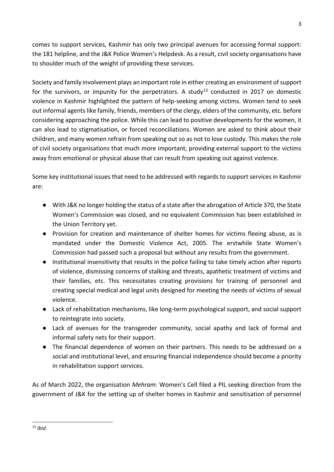comes to support services, Kashmir has only two principal avenues for accessing formal support: the 181 helpline, and the J&K Police Women's Helpdesk. As a result, civil society organisations have to shoulder much of the weight of providing these services.

Society and family involvement plays an important role in either creating an environment of support for the survivors, or impunity for the perpetrators. A study<sup>13</sup> conducted in 2017 on domestic violence in Kashmir highlighted the pattern of help-seeking among victims. Women tend to seek out informal agents like family, friends, members of the clergy, elders of the community, etc. before considering approaching the police. While this can lead to positive developments for the women, it can also lead to stigmatisation, or forced reconciliations. Women are asked to think about their children, and many women refrain from speaking out so as not to lose custody. This makes the role of civil society organisations that much more important, providing external support to the victims away from emotional or physical abuse that can result from speaking out against violence.

Some key institutional issues that need to be addressed with regards to support services in Kashmir are:

- With J&K no longer holding the status of a state after the abrogation of Article 370, the State Women's Commission was closed, and no equivalent Commission has been established in the Union Territory yet.
- Provision for creation and maintenance of shelter homes for victims fleeing abuse, as is mandated under the Domestic Violence Act, 2005. The erstwhile State Women's Commission had passed such a proposal but without any results from the government.
- Institutional insensitivity that results in the police failing to take timely action after reports of violence, dismissing concerns of stalking and threats, apathetic treatment of victims and their families, etc. This necessitates creating provisions for training of personnel and creating special medical and legal units designed for meeting the needs of victims of sexual violence.
- Lack of rehabilitation mechanisms, like long-term psychological support, and social support to reintegrate into society.
- Lack of avenues for the transgender community, social apathy and lack of formal and informal safety nets for their support.
- The financial dependence of women on their partners. This needs to be addressed on a social and institutional level, and ensuring financial independence should become a priority in rehabilitation support services.

As of March 2022, the organisation *Mehram*: Women's Cell filed a PIL seeking direction from the government of J&K for the setting up of shelter homes in Kashmir and sensitisation of personnel

<sup>13</sup> *Ibid*.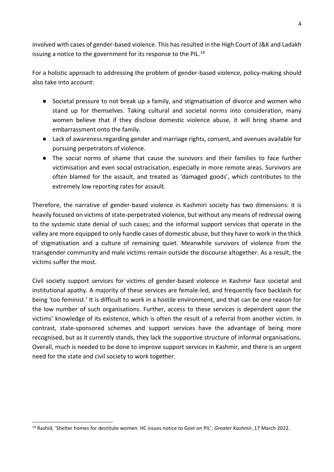involved with cases of gender-based violence. This has resulted in the High Court of J&K and Ladakh issuing a notice to the government for its response to the PIL.<sup>14</sup>

For a holistic approach to addressing the problem of gender-based violence, policy-making should also take into account:

- Societal pressure to not break up a family, and stigmatisation of divorce and women who stand up for themselves. Taking cultural and societal norms into consideration, many women believe that if they disclose domestic violence abuse, it will bring shame and embarrassment onto the family.
- Lack of awareness regarding gender and marriage rights, consent, and avenues available for pursuing perpetrators of violence.
- The social norms of shame that cause the survivors and their families to face further victimisation and even social ostracisation, especially in more remote areas. Survivors are often blamed for the assault, and treated as 'damaged goods', which contributes to the extremely low reporting rates for assault.

Therefore, the narrative of gender-based violence in Kashmiri society has two dimensions: it is heavily focused on victims of state-perpetrated violence, but without any means of redressal owing to the systemic state denial of such cases; and the informal support services that operate in the valley are more equipped to only handle cases of domestic abuse, but they have to work in the thick of stigmatisation and a culture of remaining quiet. Meanwhile survivors of violence from the transgender community and male victims remain outside the discourse altogether. As a result, the victims suffer the most.

Civil society support services for victims of gender-based violence in Kashmir face societal and institutional apathy. A majority of these services are female-led, and frequently face backlash for being 'too feminist.' It is difficult to work in a hostile environment, and that can be one reason for the low number of such organisations. Further, access to these services is dependent upon the victims' knowledge of its existence, which is often the result of a referral from another victim. In contrast, state-sponsored schemes and support services have the advantage of being more recognised, but as it currently stands, they lack the supportive structure of informal organisations. Overall, much is needed to be done to improve support services in Kashmir, and there is an urgent need for the state and civil society to work together.

 <sup>14</sup> Rashid, 'Shelter homes for destitute women: HC issues notice to Govt on PIL', *Greater Kashmir*, 17 March 2022.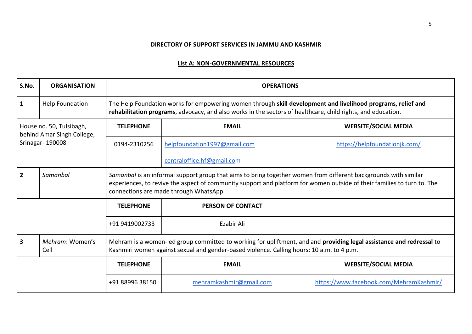#### **DIRECTORY OF SUPPORT SERVICES IN JAMMU AND KASHMIR**

### **List A: NON-GOVERNMENTAL RESOURCES**

| S.No.                                                                     | <b>ORGANISATION</b>     | <b>OPERATIONS</b>                                                                                                                                                                                                                                                                    |                              |                                         |  |
|---------------------------------------------------------------------------|-------------------------|--------------------------------------------------------------------------------------------------------------------------------------------------------------------------------------------------------------------------------------------------------------------------------------|------------------------------|-----------------------------------------|--|
| 1                                                                         | <b>Help Foundation</b>  | The Help Foundation works for empowering women through skill development and livelihood programs, relief and<br>rehabilitation programs, advocacy, and also works in the sectors of healthcare, child rights, and education.                                                         |                              |                                         |  |
| House no. 50, Tulsibagh,<br>behind Amar Singh College,<br>Srinagar-190008 |                         | <b>TELEPHONE</b>                                                                                                                                                                                                                                                                     | <b>EMAIL</b>                 | <b>WEBSITE/SOCIAL MEDIA</b>             |  |
|                                                                           |                         | 0194-2310256                                                                                                                                                                                                                                                                         | helpfoundation1997@gmail.com | https://helpfoundationjk.com/           |  |
|                                                                           |                         |                                                                                                                                                                                                                                                                                      | centraloffice.hf@gmail.com   |                                         |  |
| $\overline{2}$                                                            | Samanbal                | Samanbal is an informal support group that aims to bring together women from different backgrounds with similar<br>experiences, to revive the aspect of community support and platform for women outside of their families to turn to. The<br>connections are made through WhatsApp. |                              |                                         |  |
|                                                                           |                         | <b>TELEPHONE</b>                                                                                                                                                                                                                                                                     | <b>PERSON OF CONTACT</b>     |                                         |  |
|                                                                           |                         | +91 9419002733                                                                                                                                                                                                                                                                       | Ezabir Ali                   |                                         |  |
| $\overline{\mathbf{3}}$                                                   | Mehram: Women's<br>Cell | Mehram is a women-led group committed to working for upliftment, and and providing legal assistance and redressal to<br>Kashmiri women against sexual and gender-based violence. Calling hours: 10 a.m. to 4 p.m.                                                                    |                              |                                         |  |
|                                                                           |                         | <b>TELEPHONE</b>                                                                                                                                                                                                                                                                     | <b>EMAIL</b>                 | <b>WEBSITE/SOCIAL MEDIA</b>             |  |
|                                                                           |                         | +91 88996 38150                                                                                                                                                                                                                                                                      | mehramkashmir@gmail.com      | https://www.facebook.com/MehramKashmir/ |  |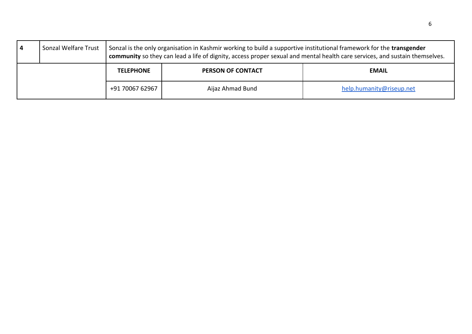| 4 | Sonzal Welfare Trust | Sonzal is the only organisation in Kashmir working to build a supportive institutional framework for the transgender<br>community so they can lead a life of dignity, access proper sexual and mental health care services, and sustain themselves. |                          |                          |
|---|----------------------|-----------------------------------------------------------------------------------------------------------------------------------------------------------------------------------------------------------------------------------------------------|--------------------------|--------------------------|
|   |                      | <b>TELEPHONE</b>                                                                                                                                                                                                                                    | <b>PERSON OF CONTACT</b> | <b>EMAIL</b>             |
|   |                      | +91 70067 62967                                                                                                                                                                                                                                     | Aijaz Ahmad Bund         | help.humanity@riseup.net |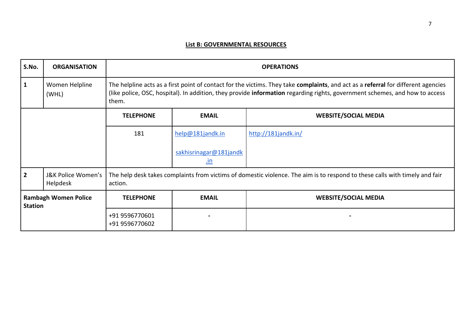## **List B: GOVERNMENTAL RESOURCES**

| S.No.                                         | <b>ORGANISATION</b>            | <b>OPERATIONS</b>                                                                                                                                                                                                                                                         |                                      |                             |
|-----------------------------------------------|--------------------------------|---------------------------------------------------------------------------------------------------------------------------------------------------------------------------------------------------------------------------------------------------------------------------|--------------------------------------|-----------------------------|
| 1                                             | Women Helpline<br>(WHL)        | The helpline acts as a first point of contact for the victims. They take complaints, and act as a referral for different agencies<br>(like police, OSC, hospital). In addition, they provide information regarding rights, government schemes, and how to access<br>them. |                                      |                             |
|                                               |                                | <b>TELEPHONE</b>                                                                                                                                                                                                                                                          | <b>EMAIL</b>                         | <b>WEBSITE/SOCIAL MEDIA</b> |
|                                               |                                | 181                                                                                                                                                                                                                                                                       | help@181jandk.in                     | http://181jandk.in/         |
|                                               |                                |                                                                                                                                                                                                                                                                           | sakhisrinagar@181jandk<br><u>.in</u> |                             |
| $\overline{2}$                                | J&K Police Women's<br>Helpdesk | The help desk takes complaints from victims of domestic violence. The aim is to respond to these calls with timely and fair<br>action.                                                                                                                                    |                                      |                             |
| <b>Rambagh Women Police</b><br><b>Station</b> |                                | <b>TELEPHONE</b>                                                                                                                                                                                                                                                          | <b>EMAIL</b>                         | <b>WEBSITE/SOCIAL MEDIA</b> |
|                                               |                                | +91 9596770601<br>+91 9596770602                                                                                                                                                                                                                                          |                                      |                             |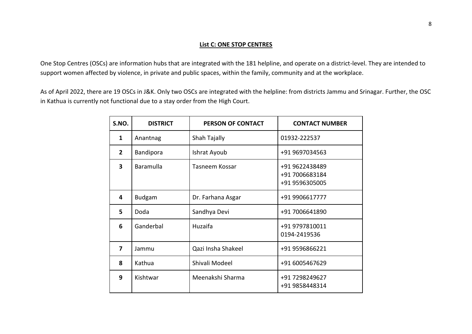#### **List C: ONE STOP CENTRES**

One Stop Centres (OSCs) are information hubs that are integrated with the 181 helpline, and operate on a district-level. They are intended to support women affected by violence, in private and public spaces, within the family, community and at the workplace.

As of April 2022, there are 19 OSCs in J&K. Only two OSCs are integrated with the helpline: from districts Jammu and Srinagar. Further, the OSC in Kathua is currently not functional due to a stay order from the High Court.

| S.NO.                   | <b>DISTRICT</b>  | PERSON OF CONTACT  | <b>CONTACT NUMBER</b>                              |
|-------------------------|------------------|--------------------|----------------------------------------------------|
| 1                       | Anantnag         | Shah Tajally       | 01932-222537                                       |
| $\mathbf{2}$            | <b>Bandipora</b> | Ishrat Ayoub       | +91 9697034563                                     |
| $\overline{\mathbf{3}}$ | Baramulla        | Tasneem Kossar     | +91 9622438489<br>+91 7006683184<br>+91 9596305005 |
| 4                       | <b>Budgam</b>    | Dr. Farhana Asgar  | +91 9906617777                                     |
| 5                       | Doda             | Sandhya Devi       | +91 7006641890                                     |
| 6                       | Ganderbal        | Huzaifa            | +91 9797810011<br>0194-2419536                     |
| 7                       | Jammu            | Qazi Insha Shakeel | +91 9596866221                                     |
| 8                       | Kathua           | Shivali Modeel     | +91 6005467629                                     |
| 9                       | Kishtwar         | Meenakshi Sharma   | +91 7298249627<br>+91 9858448314                   |